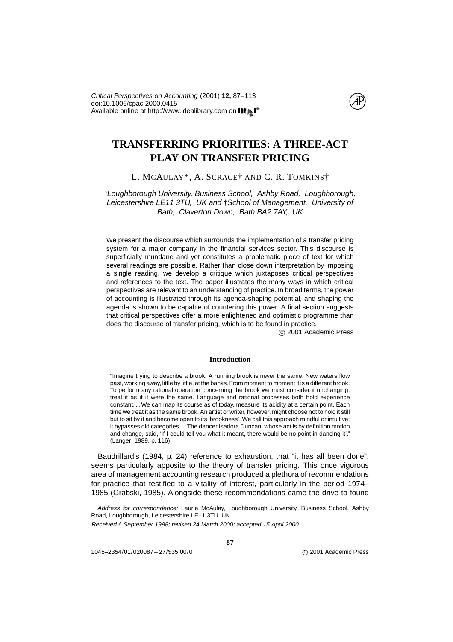Available online at http://www.idealibrary.com on IDI N doi:10.1006/cpac.2000.0415 Critical Perspectives on Accounting (2001) **12,** 87–113



## **TRANSFERRING PRIORITIES: A THREE-ACT PLAY ON TRANSFER PRICING**

## L. MCAULAY\*, A. SCRACE† AND C. R. TOMKINS†

\*Loughborough University, Business School, Ashby Road, Loughborough, Leicestershire LE11 3TU, UK and †School of Management, University of Bath, Claverton Down, Bath BA2 7AY, UK

We present the discourse which surrounds the implementation of a transfer pricing system for a major company in the financial services sector. This discourse is superficially mundane and yet constitutes a problematic piece of text for which several readings are possible. Rather than close down interpretation by imposing a single reading, we develop a critique which juxtaposes critical perspectives and references to the text. The paper illustrates the many ways in which critical perspectives are relevant to an understanding of practice. In broad terms, the power of accounting is illustrated through its agenda-shaping potential, and shaping the agenda is shown to be capable of countering this power. A final section suggests that critical perspectives offer a more enlightened and optimistic programme than does the discourse of transfer pricing, which is to be found in practice.

c 2001 Academic Press

## **Introduction**

"Imagine trying to describe a brook. A running brook is never the same. New waters flow past, working away, little by little, at the banks. From moment to moment it is a different brook. To perform any rational operation concerning the brook we must consider it unchanging, treat it as if it were the same. Language and rational processes both hold experience constant. . . We can map its course as of today, measure its acidity at a certain point. Each time we treat it as the same brook. An artist or writer, however, might choose not to hold it still but to sit by it and become open to its 'brookness'. We call this approach mindful or intuitive; it bypasses old categories. . . The dancer Isadora Duncan, whose act is by definition motion and change, said, 'If I could tell you what it meant, there would be no point in dancing it'." [\(Langer, 1989,](#page--1-0) p. 116).

[Baudrillard's \(1984,](#page--1-0) p. 24) reference to exhaustion, that "it has all been done", seems particularly apposite to the theory of transfer pricing. This once vigorous area of management accounting research produced a plethora of recommendations for practice that testified to a vitality of interest, particularly in the period 1974– 1985 [\(Grabski, 1985\)](#page--1-0). Alongside these recommendations came the drive to found

Address for correspondence: Laurie McAulay, Loughborough University, Business School, Ashby Road, Loughborough, Leicestershire LE11 3TU, UK

Received 6 September 1998; revised 24 March 2000; accepted 15 April 2000

1045–2354/01/020087+27/\$35.00/0 c 2001 Academic Press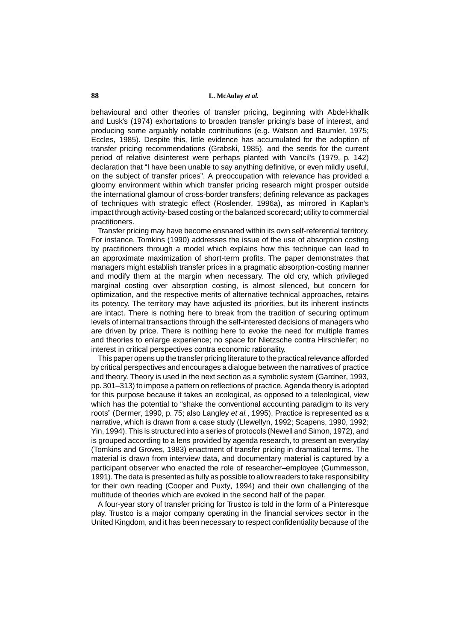behavioural and other theories of transfer pricing, beginning with [Abdel-khalik](#page--1-0) [and Lusk's \(1974\)](#page--1-0) exhortations to broaden transfer pricing's base of interest, and producing some arguably notable contributions (e.g. [Watson and Baumler, 1975;](#page--1-0) [Eccles, 1985\)](#page--1-0). Despite this, little evidence has accumulated for the adoption of transfer pricing recommendations [\(Grabski, 1985\)](#page--1-0), and the seeds for the current period of relative disinterest were perhaps planted with [Vancil's \(1979,](#page--1-0) p. 142) declaration that "I have been unable to say anything definitive, or even mildly useful, on the subject of transfer prices". A preoccupation with relevance has provided a gloomy environment within which transfer pricing research might prosper outside the international glamour of cross-border transfers; defining relevance as packages of techniques with strategic effect ([Roslender, 1996a\)](#page--1-0), as mirrored in Kaplan's impact through activity-based costing or the balanced scorecard; utility to commercial practitioners.

Transfer pricing may have become ensnared within its own self-referential territory. For instance, [Tomkins \(1990\)](#page--1-0) addresses the issue of the use of absorption costing by practitioners through a model which explains how this technique can lead to an approximate maximization of short-term profits. The paper demonstrates that managers might establish transfer prices in a pragmatic absorption-costing manner and modify them at the margin when necessary. The old cry, which privileged marginal costing over absorption costing, is almost silenced, but concern for optimization, and the respective merits of alternative technical approaches, retains its potency. The territory may have adjusted its priorities, but its inherent instincts are intact. There is nothing here to break from the tradition of securing optimum levels of internal transactions through the self-interested decisions of managers who are driven by price. There is nothing here to evoke the need for multiple frames and theories to enlarge experience; no space for Nietzsche contra Hirschleifer; no interest in critical perspectives contra economic rationality.

This paper opens up the transfer pricing literature to the practical relevance afforded by critical perspectives and encourages a dialogue between the narratives of practice and theory. Theory is used in the next section as a symbolic system ([Gardner, 1993,](#page--1-0) pp. 301–313) to impose a pattern on reflections of practice. Agenda theory is adopted for this purpose because it takes an ecological, as opposed to a teleological, view which has the potential to "shake the conventional accounting paradigm to its very roots" [\(Dermer, 1990,](#page--1-0) p. 75; also [Langley](#page--1-0) et al., 1995). Practice is represented as a narrative, which is drawn from a case study [\(Llewellyn, 1992; Scapens, 1990,](#page--1-0) [1992;](#page--1-0) [Yin, 1994\)](#page--1-0). This is structured into a series of protocols ([Newell and Simon, 1972\)](#page--1-0), and is grouped according to a lens provided by agenda research, to present an everyday [\(Tomkins and Groves, 1983\)](#page--1-0) enactment of transfer pricing in dramatical terms. The material is drawn from interview data, and documentary material is captured by a participant observer who enacted the role of researcher–employee ([Gummesson,](#page--1-0) [1991\)](#page--1-0). The data is presented as fully as possible to allow readers to take responsibility for their own reading ([Cooper and Puxty, 1994\)](#page--1-0) and their own challenging of the multitude of theories which are evoked in the second half of the paper.

A four-year story of transfer pricing for Trustco is told in the form of a Pinteresque play. Trustco is a major company operating in the financial services sector in the United Kingdom, and it has been necessary to respect confidentiality because of the